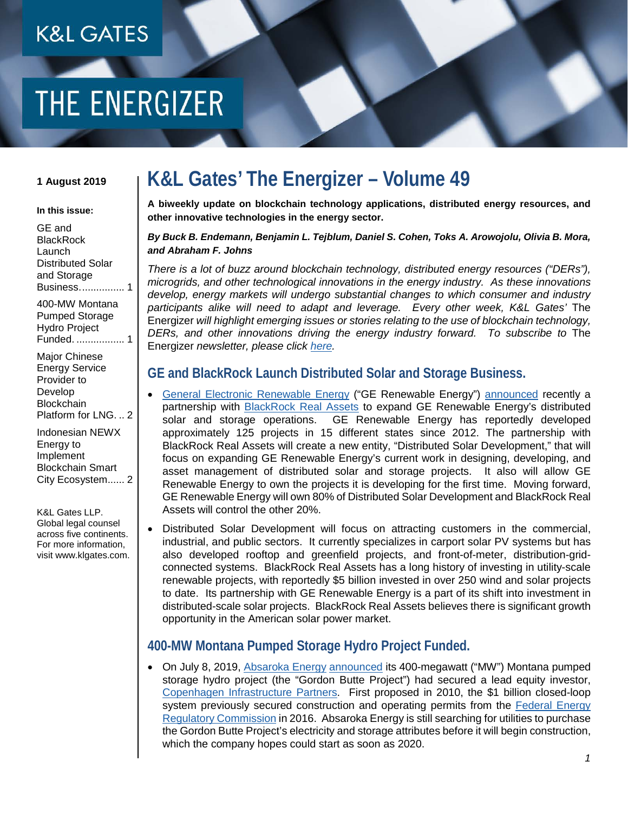## **K&L GATES**

# THE ENERGIZER

#### **1 August 2019**

#### **In this issue:**

[GE and](#page-0-0)  **BlackRock** [Launch](#page-0-0)  [Distributed Solar](#page-0-0)  [and Storage](#page-0-0)  [Business................](#page-0-0) 1 [400-MW Montana](#page-0-1) 

[Pumped Storage](#page-0-1)  [Hydro Project](#page-0-1)  Funded. [.................](#page-0-1) 1

[Major Chinese](#page-1-0)  [Energy Service](#page-1-0)  [Provider to](#page-1-0)  [Develop](#page-1-0)  **Blockchain** [Platform for LNG.](#page-1-0) .. 2

[Indonesian NEWX](#page-1-1)  [Energy to](#page-1-1)  [Implement](#page-1-1)  [Blockchain Smart](#page-1-1)  [City Ecosystem......](#page-1-1) 2

K&L Gates LLP. Global legal counsel across five continents. For more information, visit www.klgates.com.

### **K&L Gates' The Energizer – Volume 49**

**A biweekly update on blockchain technology applications, distributed energy resources, and other innovative technologies in the energy sector.**

#### *By Buck B. Endemann, Benjamin L. Tejblum, Daniel S. Cohen, Toks A. Arowojolu, Olivia B. Mora, and Abraham F. Johns*

*There is a lot of buzz around blockchain technology, distributed energy resources ("DERs"), microgrids, and other technological innovations in the energy industry. As these innovations develop, energy markets will undergo substantial changes to which consumer and industry participants alike will need to adapt and leverage. Every other week, K&L Gates'* The Energizer *will highlight emerging issues or stories relating to the use of blockchain technology, DERs, and other innovations driving the energy industry forward. To subscribe to* The Energizer *newsletter, please click [here.](mailto:janina.quilacio@klgates.com?subject=Subscribe:%20Blockchain%20Energizer)*

#### <span id="page-0-0"></span>**GE and BlackRock Launch Distributed Solar and Storage Business.**

- [General Electronic Renewable Energy](https://www.ge.com/renewableenergy) ("GE Renewable Energy") [announced](https://www.greentechmedia.com/articles/read/ge-renewable-energy-and-blackrock-launch-distributed-solar-and-storage-busi) recently a partnership with [BlackRock Real Assets](https://www.blackrock.com/institutions/en-zz/strategies/alternatives/real-assets) to expand GE Renewable Energy's distributed solar and storage operations. GE Renewable Energy has reportedly developed approximately 125 projects in 15 different states since 2012. The partnership with BlackRock Real Assets will create a new entity, "Distributed Solar Development," that will focus on expanding GE Renewable Energy's current work in designing, developing, and asset management of distributed solar and storage projects. It also will allow GE Renewable Energy to own the projects it is developing for the first time. Moving forward, GE Renewable Energy will own 80% of Distributed Solar Development and BlackRock Real Assets will control the other 20%.
- Distributed Solar Development will focus on attracting customers in the commercial, industrial, and public sectors. It currently specializes in carport solar PV systems but has also developed rooftop and greenfield projects, and front-of-meter, distribution-gridconnected systems. BlackRock Real Assets has a long history of investing in utility-scale renewable projects, with reportedly \$5 billion invested in over 250 wind and solar projects to date. Its partnership with GE Renewable Energy is a part of its shift into investment in distributed-scale solar projects. BlackRock Real Assets believes there is significant growth opportunity in the American solar power market.

#### <span id="page-0-1"></span>**400-MW Montana Pumped Storage Hydro Project Funded.**

• On July 8, 2019, [Absaroka Energy](https://absarokaenergy.com/) [announced](https://absarokaenergy.com/wp-content/uploads/2019/07/AE-CIP-Press-Release-final-07082019.pdf) its 400-megawatt ("MW") Montana pumped storage hydro project (the "Gordon Butte Project") had secured a lead equity investor, [Copenhagen Infrastructure Partners.](https://cipartners.dk/) First proposed in 2010, the \$1 billion closed-loop system previously secured construction and operating permits from the **Federal Energy** [Regulatory Commission](https://www.ferc.gov/) in 2016. Absaroka Energy is still searching for utilities to purchase the Gordon Butte Project's electricity and storage attributes before it will begin construction, which the company hopes could start as soon as 2020.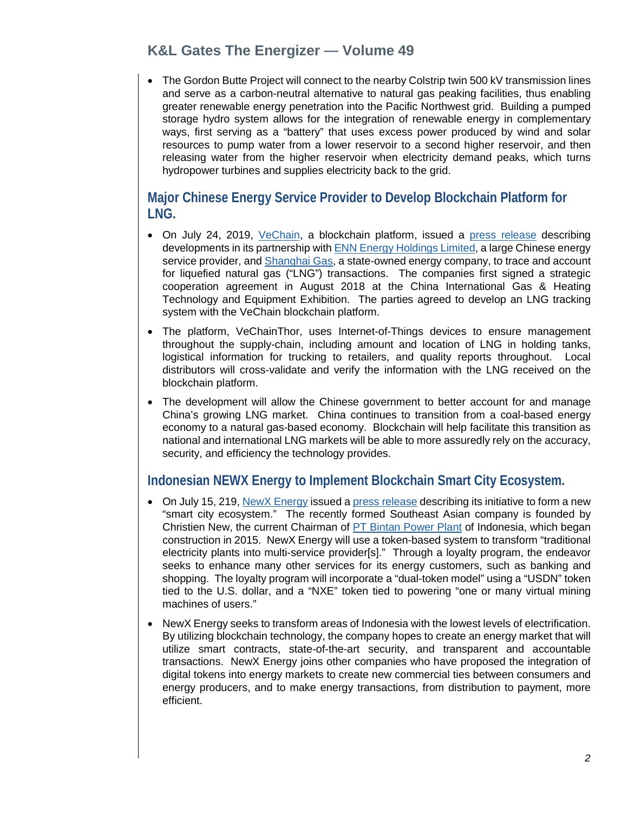#### **K&L Gates The Energizer — Volume 49**

• The Gordon Butte Project will connect to the nearby Colstrip twin 500 kV transmission lines and serve as a carbon-neutral alternative to natural gas peaking facilities, thus enabling greater renewable energy penetration into the Pacific Northwest grid. Building a pumped storage hydro system allows for the integration of renewable energy in complementary ways, first serving as a "battery" that uses excess power produced by wind and solar resources to pump water from a lower reservoir to a second higher reservoir, and then releasing water from the higher reservoir when electricity demand peaks, which turns hydropower turbines and supplies electricity back to the grid.

#### <span id="page-1-0"></span>**Major Chinese Energy Service Provider to Develop Blockchain Platform for LNG.**

- On July 24, 2019, [VeChain,](https://www.vechain.com/) a blockchain platform, issued a [press release](https://www.prnewswire.com/news-releases/enn-one-of-the-largest-energy-service-providers-in-china-kickstarted-its-digital-transformation-on--vechainthor-blockchain-300889714.html) describing developments in its partnership with [ENN Energy Holdings Limited,](http://ir.ennenergy.com/en/global/home.php) a large Chinese energy service provider, and [Shanghai Gas,](http://www.shenergy.com.cn/en.php/info/about4/id/979) a state-owned energy company, to trace and account for liquefied natural gas ("LNG") transactions. The companies first signed a strategic cooperation agreement in August 2018 at the China International Gas & Heating Technology and Equipment Exhibition. The parties agreed to develop an LNG tracking system with the VeChain blockchain platform.
- The platform, VeChainThor, uses Internet-of-Things devices to ensure management throughout the supply-chain, including amount and location of LNG in holding tanks, logistical information for trucking to retailers, and quality reports throughout. Local distributors will cross-validate and verify the information with the LNG received on the blockchain platform.
- The development will allow the Chinese government to better account for and manage China's growing LNG market. China continues to transition from a coal-based energy economy to a natural gas-based economy. Blockchain will help facilitate this transition as national and international LNG markets will be able to more assuredly rely on the accuracy, security, and efficiency the technology provides.

#### <span id="page-1-1"></span>**Indonesian NEWX Energy to Implement Blockchain Smart City Ecosystem.**

- On July 15, 219, [NewX Energy](https://newx.energy/) issued a [press release](https://www.prnewswire.com/news-releases/christien-new-leads-newx-energy-to-tokenize-electricity-plants-into-multi-service-providers-300883994.html) describing its initiative to form a new "smart city ecosystem." The recently formed Southeast Asian company is founded by Christien New, the current Chairman of [PT Bintan Power Plant](https://ptbpp.com/) of Indonesia, which began construction in 2015. NewX Energy will use a token-based system to transform "traditional electricity plants into multi-service provider[s]." Through a loyalty program, the endeavor seeks to enhance many other services for its energy customers, such as banking and shopping. The loyalty program will incorporate a "dual-token model" using a "USDN" token tied to the U.S. dollar, and a "NXE" token tied to powering "one or many virtual mining machines of users."
- NewX Energy seeks to transform areas of Indonesia with the lowest levels of electrification. By utilizing blockchain technology, the company hopes to create an energy market that will utilize smart contracts, state-of-the-art security, and transparent and accountable transactions. NewX Energy joins other companies who have proposed the integration of digital tokens into energy markets to create new commercial ties between consumers and energy producers, and to make energy transactions, from distribution to payment, more efficient.